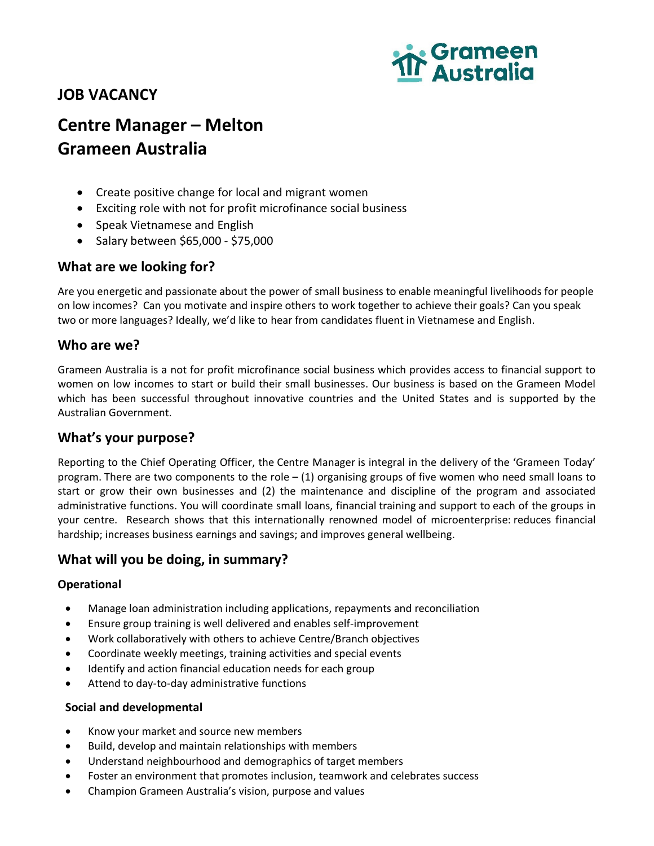# **JOB VACANCY**



# **Centre Manager – Melton Grameen Australia**

- Create positive change for local and migrant women
- Exciting role with not for profit microfinance social business
- Speak Vietnamese and English
- Salary between \$65,000 \$75,000

## **What are we looking for?**

Are you energetic and passionate about the power of small business to enable meaningful livelihoods for people on low incomes? Can you motivate and inspire others to work together to achieve their goals? Can you speak two or more languages? Ideally, we'd like to hear from candidates fluent in Vietnamese and English.

#### **Who are we?**

Grameen Australia is a not for profit microfinance social business which provides access to financial support to women on low incomes to start or build their small businesses. Our business is based on the Grameen Model which has been successful throughout innovative countries and the United States and is supported by the Australian Government.

#### **What's your purpose?**

Reporting to the Chief Operating Officer, the Centre Manager is integral in the delivery of the 'Grameen Today' program. There are two components to the role  $- (1)$  organising groups of five women who need small loans to start or grow their own businesses and (2) the maintenance and discipline of the program and associated administrative functions. You will coordinate small loans, financial training and support to each of the groups in your centre. Research shows that this internationally renowned model of microenterprise: reduces financial hardship; increases business earnings and savings; and improves general wellbeing.

### **What will you be doing, in summary?**

#### **Operational**

- Manage loan administration including applications, repayments and reconciliation
- Ensure group training is well delivered and enables self-improvement
- Work collaboratively with others to achieve Centre/Branch objectives
- Coordinate weekly meetings, training activities and special events
- Identify and action financial education needs for each group
- Attend to day-to-day administrative functions

#### **Social and developmental**

- Know your market and source new members
- Build, develop and maintain relationships with members
- Understand neighbourhood and demographics of target members
- Foster an environment that promotes inclusion, teamwork and celebrates success
- Champion Grameen Australia's vision, purpose and values